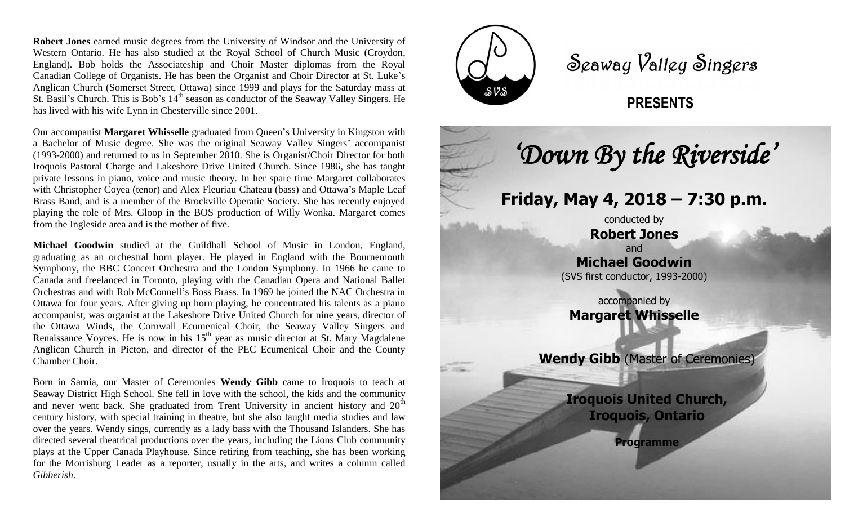. Western Ontario. He has also studied at the Royal School of Church Music (Croydon, **Robert Jones** earned music degrees from the University of Windsor and the University of England). Bob holds the Associateship and Choir Master diplomas from the Royal Canadian College of Organists. He has been the Organist and Choir Director at St. Luke's Anglican Church (Somerset Street, Ottawa) since 1999 and plays for the Saturday mass at St. Basil's Church. This is Bob's 14<sup>th</sup> season as conductor of the Seaway Valley Singers. He has lived with his wife Lynn in Chesterville since 2001.

Our accompanist **Margaret Whisselle** graduated from Queen's University in Kingston with a Bachelor of Music degree. She was the original Seaway Valley Singers' accompanist (1993-2000) and returned to us in September 2010. She is Organist/Choir Director for both Iroquois Pastoral Charge and Lakeshore Drive United Church. Since 1986, she has taught private lessons in piano, voice and music theory. In her spare time Margaret collaborates with Christopher Coyea (tenor) and Alex Fleuriau Chateau (bass) and Ottawa's Maple Leaf Brass Band, and is a member of the Brockville Operatic Society. She has recently enjoyed playing the role of Mrs. Gloop in the BOS production of Willy Wonka. Margaret comes from the Ingleside area and is the mother of five.

**Michael Goodwin** studied at the Guildhall School of Music in London, England, graduating as an orchestral horn player. He played in England with the Bournemouth Symphony, the BBC Concert Orchestra and the London Symphony. In 1966 he came to Canada and freelanced in Toronto, playing with the Canadian Opera and National Ballet Orchestras and with Rob McConnell's Boss Brass. In 1969 he joined the NAC Orchestra in Ottawa for four years. After giving up horn playing, he concentrated his talents as a piano accompanist, was organist at the Lakeshore Drive United Church for nine years, director of the Ottawa Winds, the Cornwall Ecumenical Choir, the Seaway Valley Singers and Renaissance Voyces. He is now in his  $15<sup>th</sup>$  year as music director at St. Mary Magdalene Anglican Church in Picton, and director of the PEC Ecumenical Choir and the County Chamber Choir.

Born in Sarnia, our Master of Ceremonies **Wendy Gibb** came to Iroquois to teach at Seaway District High School. She fell in love with the school, the kids and the community and never went back. She graduated from Trent University in ancient history and  $20<sup>th</sup>$ century history, with special training in theatre, but she also taught media studies and law over the years. Wendy sings, currently as a lady bass with the Thousand Islanders. She has directed several theatrical productions over the years, including the Lions Club community plays at the Upper Canada Playhouse. Since retiring from teaching, she has been working for the Morrisburg Leader as a reporter, usually in the arts, and writes a column called *Gibberish*.



Seaway Valley Singers

## **PRESENTS**

**Wendy Gibb** (Master of Ceremonies) **Iroquois United Church, Iroquois, Ontario Friday, May 4, 2018 – 7:30 p.m.** conducted by **Robert Jones** and **Michael Goodwin** (SVS first conductor, 1993-2000) accompanied by **Margaret Whisselle** *'Down By the Riverside'* 

**Programme**